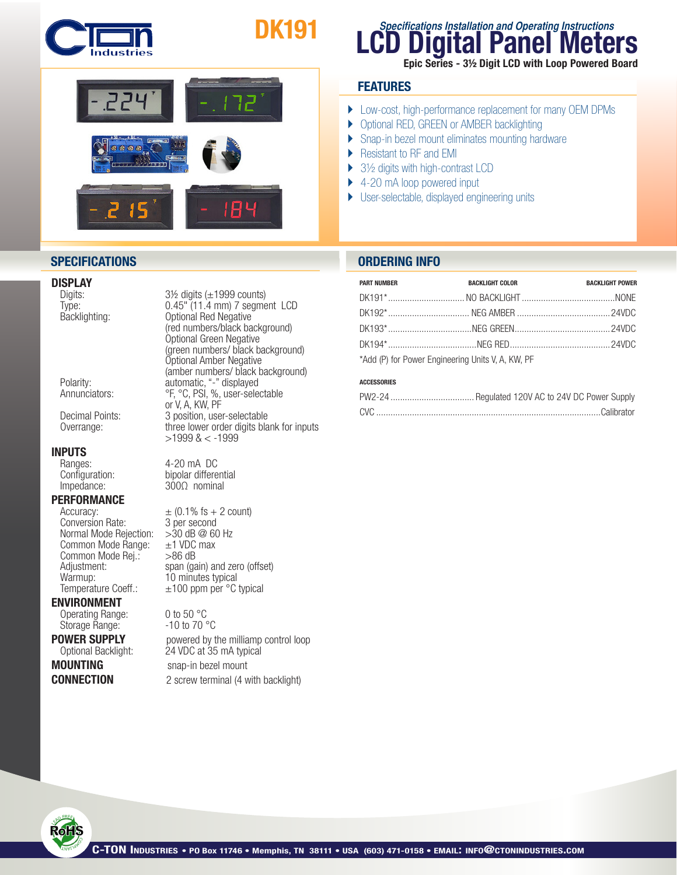

# DK191



# **DISPLAY**<br>Digits:

# **INPUTS**<br>
Ranges:

Impedance: 300Ω nominal

#### **PERFORMANCE**

Conversion Rate: 3 per second<br>Normal Mode Rejection: > 30 dB @ 60 Hz Normal Mode Rejection:  $>30$  dB @ 60<br>Common Mode Range:  $\pm 1$  VDC max Common Mode Range:  $\pm$ 1 VDC<br>Common Mode Rei.:  $>$ 86 dB Common Mode Rej.:<br>Adjustment: Warmup: 10 minutes typical

#### ENVIRONMENT

Operating Range: 0 to 50 °C<br>Storage Range: - 10 to 70 °C Storage Range:

Digits: 3½ digits (±1999 counts)<br>Type: 31‰ 11.4 mm) 7 segme Type: 0.45" (11.4 mm) 7 segment LCD<br>Backlighting: 0ptional Red Negative Optional Red Negative (red numbers/black background) Optional Green Negative (green numbers/ black background) Optional Amber Negative (amber numbers/ black background)<br>Polarity: extending the automatic, "-" displayed Polarity: automatic, "-" displayed Annunciators: <sup>org</sup>, <sup>org</sup>, PSI, %, user-selectable or V, A, KW, PF Decimal Points: <br>Overrange: by three lower order digits bla three lower order digits blank for inputs >1999 & < -1999

Ranges: 4-20 mA DC<br>Configuration: bipolar differential

 $\text{Accuracy:}$   $\pm$  (0.1% fs + 2 count)<br>Conversion Rate: 3 per second Adjustment: span (gain) and zero (offset) Temperature Coeff.:  $\pm 100$  ppm per °C typical

**POWER SUPPLY** powered by the milliamp control loop<br>Optional Backlight: 24 VDC at 35 mA typical 24 VDC at 35 mA typical **MOUNTING** snap-in bezel mount **CONNECTION** 2 screw terminal (4 with backlight)

### **LCD Digital Panel Meters Specifications Installation and Operating Instructions** Epic Series - 3½ Digit LCD with Loop Powered Board

#### **FEATURES**

- } Low-cost, high-performance replacement for many OEM DPMs
- ▶ Optional RED, GREEN or AMBER backlighting
- ▶ Snap-in bezel mount eliminates mounting hardware
- ▶ Resistant to RF and EMI
- $\blacktriangleright$  3½ digits with high-contrast LCD
- ▶ 4-20 mA loop powered input
- } User-selectable, displayed engineering units

#### **SPECIFICATIONS ORDERING INFO**

| <b>PART NUMBER</b>                                | <b>BACKLIGHT COLOR</b> | <b>BACKLIGHT POWER</b> |  |  |
|---------------------------------------------------|------------------------|------------------------|--|--|
|                                                   |                        |                        |  |  |
|                                                   |                        |                        |  |  |
|                                                   |                        |                        |  |  |
|                                                   |                        |                        |  |  |
| *Add (P) for Power Engineering Units V, A, KW, PF |                        |                        |  |  |

#### ACCESSORIES